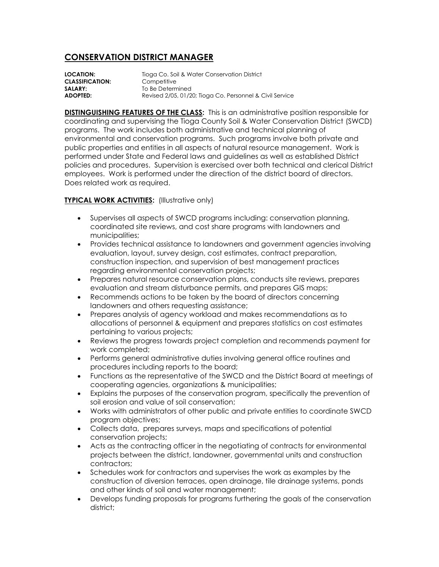## **CONSERVATION DISTRICT MANAGER**

**LOCATION:** Tioga Co. Soil & Water Conservation District **CLASSIFICATION:** Competitive **SALARY:** To Be Determined **ADOPTED:** Revised 2/05, 01/20; Tioga Co. Personnel & Civil Service

**DISTINGUISHING FEATURES OF THE CLASS:** This is an administrative position responsible for coordinating and supervising the Tioga County Soil & Water Conservation District (SWCD) programs. The work includes both administrative and technical planning of environmental and conservation programs. Such programs involve both private and public properties and entities in all aspects of natural resource management. Work is performed under State and Federal laws and guidelines as well as established District policies and procedures. Supervision is exercised over both technical and clerical District employees. Work is performed under the direction of the district board of directors. Does related work as required.

## **TYPICAL WORK ACTIVITIES:** (Illustrative only)

- Supervises all aspects of SWCD programs including: conservation planning, coordinated site reviews, and cost share programs with landowners and municipalities;
- Provides technical assistance to landowners and government agencies involving evaluation, layout, survey design, cost estimates, contract preparation, construction inspection, and supervision of best management practices regarding environmental conservation projects;
- Prepares natural resource conservation plans, conducts site reviews, prepares evaluation and stream disturbance permits, and prepares GIS maps;
- Recommends actions to be taken by the board of directors concerning landowners and others requesting assistance;
- Prepares analysis of agency workload and makes recommendations as to allocations of personnel & equipment and prepares statistics on cost estimates pertaining to various projects;
- Reviews the progress towards project completion and recommends payment for work completed;
- Performs general administrative duties involving general office routines and procedures including reports to the board;
- Functions as the representative of the SWCD and the District Board at meetings of cooperating agencies, organizations & municipalities;
- Explains the purposes of the conservation program, specifically the prevention of soil erosion and value of soil conservation;
- Works with administrators of other public and private entities to coordinate SWCD program objectives;
- Collects data, prepares surveys, maps and specifications of potential conservation projects;
- Acts as the contracting officer in the negotiating of contracts for environmental projects between the district, landowner, governmental units and construction contractors;
- Schedules work for contractors and supervises the work as examples by the construction of diversion terraces, open drainage, tile drainage systems, ponds and other kinds of soil and water management;
- Develops funding proposals for programs furthering the goals of the conservation district;